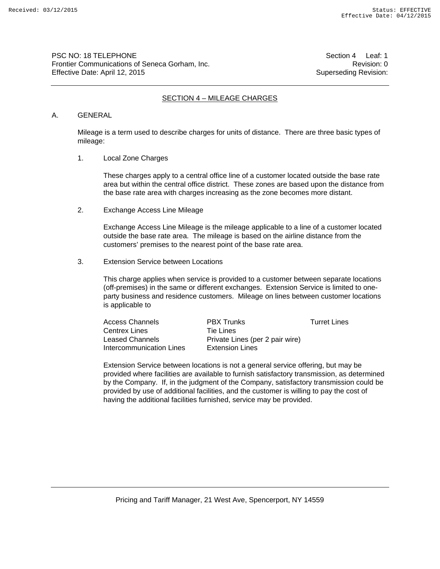PSC NO: 18 TELEPHONE Section 4 Leaf: 1 Frontier Communications of Seneca Gorham, Inc. **Revision: 0** Revision: 0 Effective Date: April 12, 2015 **Superseding Revision:** Superseding Revision:

### SECTION 4 – MILEAGE CHARGES

#### A. GENERAL

Mileage is a term used to describe charges for units of distance. There are three basic types of mileage:

1. Local Zone Charges

These charges apply to a central office line of a customer located outside the base rate area but within the central office district. These zones are based upon the distance from the base rate area with charges increasing as the zone becomes more distant.

2. Exchange Access Line Mileage

Exchange Access Line Mileage is the mileage applicable to a line of a customer located outside the base rate area. The mileage is based on the airline distance from the customers' premises to the nearest point of the base rate area.

3. Extension Service between Locations

This charge applies when service is provided to a customer between separate locations (off-premises) in the same or different exchanges. Extension Service is limited to oneparty business and residence customers. Mileage on lines between customer locations is applicable to

Access Channels **PBX Trunks PBX Trunks** Turret Lines Centrex Lines **Tie Lines** Leased Channels Private Lines (per 2 pair wire) Intercommunication Lines Extension Lines

Extension Service between locations is not a general service offering, but may be provided where facilities are available to furnish satisfactory transmission, as determined by the Company. If, in the judgment of the Company, satisfactory transmission could be provided by use of additional facilities, and the customer is willing to pay the cost of having the additional facilities furnished, service may be provided.